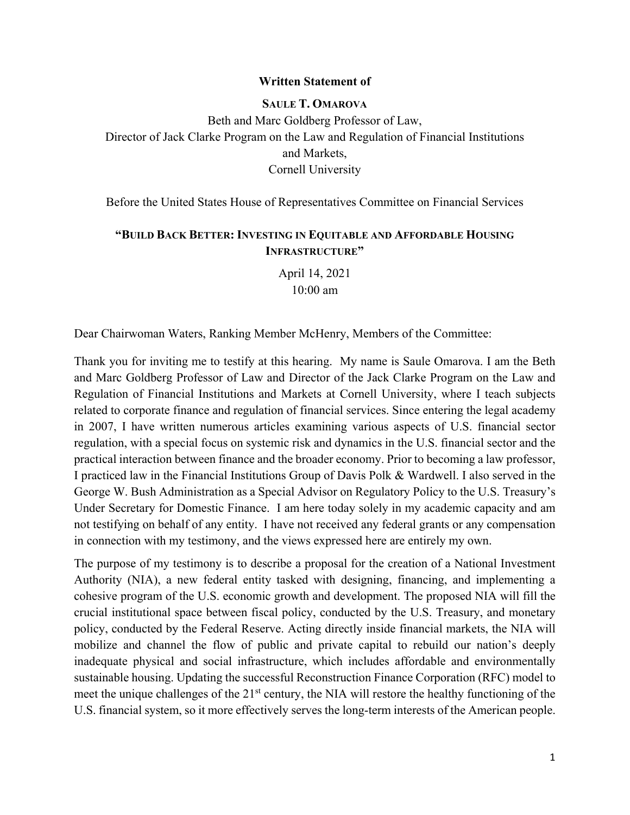#### **Written Statement of**

# **SAULE T. OMAROVA** Beth and Marc Goldberg Professor of Law, Director of Jack Clarke Program on the Law and Regulation of Financial Institutions and Markets, Cornell University

Before the United States House of Representatives Committee on Financial Services

#### **"BUILD BACK BETTER: INVESTING IN EQUITABLE AND AFFORDABLE HOUSING INFRASTRUCTURE"**

April 14, 2021 10:00 am

Dear Chairwoman Waters, Ranking Member McHenry, Members of the Committee:

Thank you for inviting me to testify at this hearing. My name is Saule Omarova. I am the Beth and Marc Goldberg Professor of Law and Director of the Jack Clarke Program on the Law and Regulation of Financial Institutions and Markets at Cornell University, where I teach subjects related to corporate finance and regulation of financial services. Since entering the legal academy in 2007, I have written numerous articles examining various aspects of U.S. financial sector regulation, with a special focus on systemic risk and dynamics in the U.S. financial sector and the practical interaction between finance and the broader economy. Prior to becoming a law professor, I practiced law in the Financial Institutions Group of Davis Polk & Wardwell. I also served in the George W. Bush Administration as a Special Advisor on Regulatory Policy to the U.S. Treasury's Under Secretary for Domestic Finance. I am here today solely in my academic capacity and am not testifying on behalf of any entity. I have not received any federal grants or any compensation in connection with my testimony, and the views expressed here are entirely my own.

The purpose of my testimony is to describe a proposal for the creation of a National Investment Authority (NIA), a new federal entity tasked with designing, financing, and implementing a cohesive program of the U.S. economic growth and development. The proposed NIA will fill the crucial institutional space between fiscal policy, conducted by the U.S. Treasury, and monetary policy, conducted by the Federal Reserve. Acting directly inside financial markets, the NIA will mobilize and channel the flow of public and private capital to rebuild our nation's deeply inadequate physical and social infrastructure, which includes affordable and environmentally sustainable housing. Updating the successful Reconstruction Finance Corporation (RFC) model to meet the unique challenges of the 21<sup>st</sup> century, the NIA will restore the healthy functioning of the U.S. financial system, so it more effectively serves the long-term interests of the American people.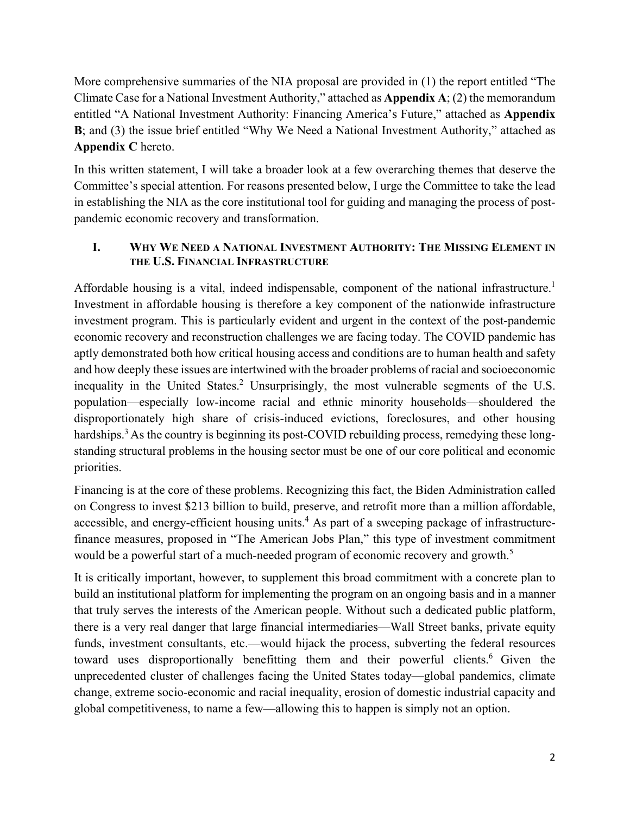More comprehensive summaries of the NIA proposal are provided in (1) the report entitled "The Climate Case for a National Investment Authority," attached as **Appendix A**; (2) the memorandum entitled "A National Investment Authority: Financing America's Future," attached as **Appendix B**; and (3) the issue brief entitled "Why We Need a National Investment Authority," attached as **Appendix C** hereto.

In this written statement, I will take a broader look at a few overarching themes that deserve the Committee's special attention. For reasons presented below, I urge the Committee to take the lead in establishing the NIA as the core institutional tool for guiding and managing the process of postpandemic economic recovery and transformation.

#### **I. WHY WE NEED A NATIONAL INVESTMENT AUTHORITY: THE MISSING ELEMENT IN THE U.S. FINANCIAL INFRASTRUCTURE**

Affordable housing is a vital, indeed indispensable, component of the national infrastructure.<sup>1</sup> Investment in affordable housing is therefore a key component of the nationwide infrastructure investment program. This is particularly evident and urgent in the context of the post-pandemic economic recovery and reconstruction challenges we are facing today. The COVID pandemic has aptly demonstrated both how critical housing access and conditions are to human health and safety and how deeply these issues are intertwined with the broader problems of racial and socioeconomic inequality in the United States.<sup>2</sup> Unsurprisingly, the most vulnerable segments of the U.S. population—especially low-income racial and ethnic minority households—shouldered the disproportionately high share of crisis-induced evictions, foreclosures, and other housing hardships.<sup>3</sup> As the country is beginning its post-COVID rebuilding process, remedying these longstanding structural problems in the housing sector must be one of our core political and economic priorities.

Financing is at the core of these problems. Recognizing this fact, the Biden Administration called on Congress to invest \$213 billion to build, preserve, and retrofit more than a million affordable, accessible, and energy-efficient housing units.<sup>4</sup> As part of a sweeping package of infrastructurefinance measures, proposed in "The American Jobs Plan," this type of investment commitment would be a powerful start of a much-needed program of economic recovery and growth.<sup>5</sup>

It is critically important, however, to supplement this broad commitment with a concrete plan to build an institutional platform for implementing the program on an ongoing basis and in a manner that truly serves the interests of the American people. Without such a dedicated public platform, there is a very real danger that large financial intermediaries—Wall Street banks, private equity funds, investment consultants, etc.—would hijack the process, subverting the federal resources toward uses disproportionally benefitting them and their powerful clients.<sup>6</sup> Given the unprecedented cluster of challenges facing the United States today—global pandemics, climate change, extreme socio-economic and racial inequality, erosion of domestic industrial capacity and global competitiveness, to name a few—allowing this to happen is simply not an option.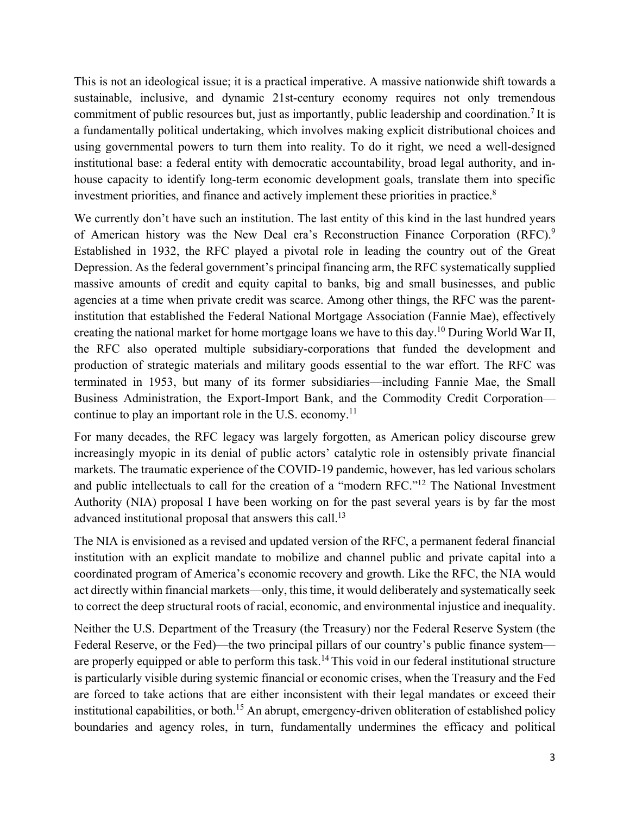This is not an ideological issue; it is a practical imperative. A massive nationwide shift towards a sustainable, inclusive, and dynamic 21st-century economy requires not only tremendous commitment of public resources but, just as importantly, public leadership and coordination.<sup>7</sup> It is a fundamentally political undertaking, which involves making explicit distributional choices and using governmental powers to turn them into reality. To do it right, we need a well-designed institutional base: a federal entity with democratic accountability, broad legal authority, and inhouse capacity to identify long-term economic development goals, translate them into specific investment priorities, and finance and actively implement these priorities in practice.<sup>8</sup>

We currently don't have such an institution. The last entity of this kind in the last hundred years of American history was the New Deal era's Reconstruction Finance Corporation (RFC).<sup>9</sup> Established in 1932, the RFC played a pivotal role in leading the country out of the Great Depression. As the federal government's principal financing arm, the RFC systematically supplied massive amounts of credit and equity capital to banks, big and small businesses, and public agencies at a time when private credit was scarce. Among other things, the RFC was the parentinstitution that established the Federal National Mortgage Association (Fannie Mae), effectively creating the national market for home mortgage loans we have to this day.10 During World War II, the RFC also operated multiple subsidiary-corporations that funded the development and production of strategic materials and military goods essential to the war effort. The RFC was terminated in 1953, but many of its former subsidiaries—including Fannie Mae, the Small Business Administration, the Export-Import Bank, and the Commodity Credit Corporation continue to play an important role in the U.S. economy.<sup>11</sup>

For many decades, the RFC legacy was largely forgotten, as American policy discourse grew increasingly myopic in its denial of public actors' catalytic role in ostensibly private financial markets. The traumatic experience of the COVID-19 pandemic, however, has led various scholars and public intellectuals to call for the creation of a "modern RFC."12 The National Investment Authority (NIA) proposal I have been working on for the past several years is by far the most advanced institutional proposal that answers this call.<sup>13</sup>

The NIA is envisioned as a revised and updated version of the RFC, a permanent federal financial institution with an explicit mandate to mobilize and channel public and private capital into a coordinated program of America's economic recovery and growth. Like the RFC, the NIA would act directly within financial markets—only, this time, it would deliberately and systematically seek to correct the deep structural roots of racial, economic, and environmental injustice and inequality.

Neither the U.S. Department of the Treasury (the Treasury) nor the Federal Reserve System (the Federal Reserve, or the Fed)—the two principal pillars of our country's public finance system are properly equipped or able to perform this task.<sup>14</sup> This void in our federal institutional structure is particularly visible during systemic financial or economic crises, when the Treasury and the Fed are forced to take actions that are either inconsistent with their legal mandates or exceed their institutional capabilities, or both.<sup>15</sup> An abrupt, emergency-driven obliteration of established policy boundaries and agency roles, in turn, fundamentally undermines the efficacy and political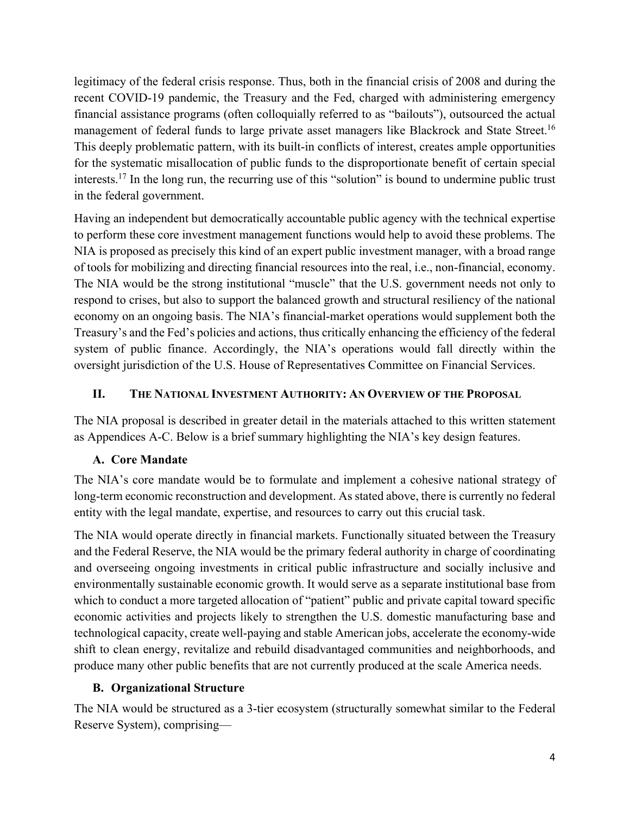legitimacy of the federal crisis response. Thus, both in the financial crisis of 2008 and during the recent COVID-19 pandemic, the Treasury and the Fed, charged with administering emergency financial assistance programs (often colloquially referred to as "bailouts"), outsourced the actual management of federal funds to large private asset managers like Blackrock and State Street.<sup>16</sup> This deeply problematic pattern, with its built-in conflicts of interest, creates ample opportunities for the systematic misallocation of public funds to the disproportionate benefit of certain special interests.17 In the long run, the recurring use of this "solution" is bound to undermine public trust in the federal government.

Having an independent but democratically accountable public agency with the technical expertise to perform these core investment management functions would help to avoid these problems. The NIA is proposed as precisely this kind of an expert public investment manager, with a broad range of tools for mobilizing and directing financial resources into the real, i.e., non-financial, economy. The NIA would be the strong institutional "muscle" that the U.S. government needs not only to respond to crises, but also to support the balanced growth and structural resiliency of the national economy on an ongoing basis. The NIA's financial-market operations would supplement both the Treasury's and the Fed's policies and actions, thus critically enhancing the efficiency of the federal system of public finance. Accordingly, the NIA's operations would fall directly within the oversight jurisdiction of the U.S. House of Representatives Committee on Financial Services.

## **II. THE NATIONAL INVESTMENT AUTHORITY: AN OVERVIEW OF THE PROPOSAL**

The NIA proposal is described in greater detail in the materials attached to this written statement as Appendices A-C. Below is a brief summary highlighting the NIA's key design features.

## **A. Core Mandate**

The NIA's core mandate would be to formulate and implement a cohesive national strategy of long-term economic reconstruction and development. As stated above, there is currently no federal entity with the legal mandate, expertise, and resources to carry out this crucial task.

The NIA would operate directly in financial markets. Functionally situated between the Treasury and the Federal Reserve, the NIA would be the primary federal authority in charge of coordinating and overseeing ongoing investments in critical public infrastructure and socially inclusive and environmentally sustainable economic growth. It would serve as a separate institutional base from which to conduct a more targeted allocation of "patient" public and private capital toward specific economic activities and projects likely to strengthen the U.S. domestic manufacturing base and technological capacity, create well-paying and stable American jobs, accelerate the economy-wide shift to clean energy, revitalize and rebuild disadvantaged communities and neighborhoods, and produce many other public benefits that are not currently produced at the scale America needs.

#### **B. Organizational Structure**

The NIA would be structured as a 3-tier ecosystem (structurally somewhat similar to the Federal Reserve System), comprising—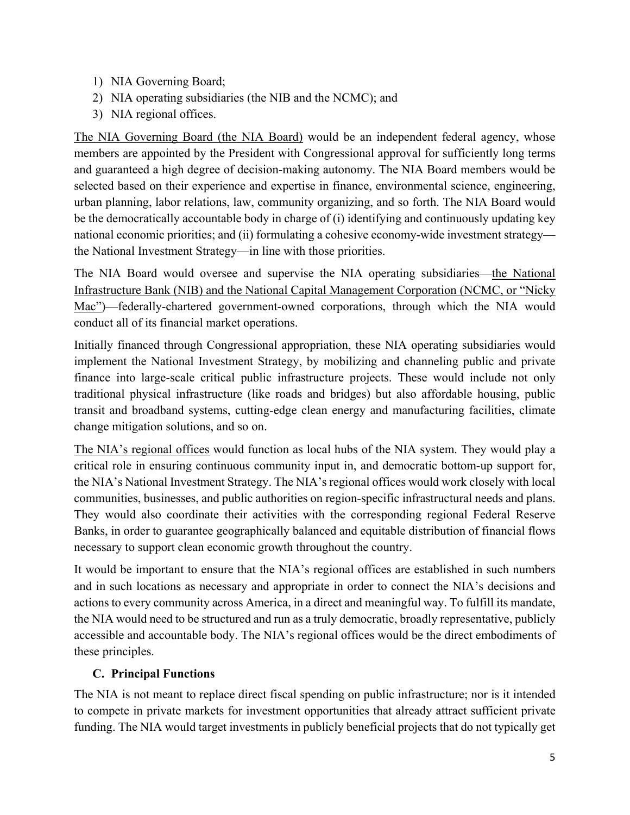- 1) NIA Governing Board;
- 2) NIA operating subsidiaries (the NIB and the NCMC); and
- 3) NIA regional offices.

The NIA Governing Board (the NIA Board) would be an independent federal agency, whose members are appointed by the President with Congressional approval for sufficiently long terms and guaranteed a high degree of decision-making autonomy. The NIA Board members would be selected based on their experience and expertise in finance, environmental science, engineering, urban planning, labor relations, law, community organizing, and so forth. The NIA Board would be the democratically accountable body in charge of (i) identifying and continuously updating key national economic priorities; and (ii) formulating a cohesive economy-wide investment strategy the National Investment Strategy—in line with those priorities.

The NIA Board would oversee and supervise the NIA operating subsidiaries—the National Infrastructure Bank (NIB) and the National Capital Management Corporation (NCMC, or "Nicky Mac")—federally-chartered government-owned corporations, through which the NIA would conduct all of its financial market operations.

Initially financed through Congressional appropriation, these NIA operating subsidiaries would implement the National Investment Strategy, by mobilizing and channeling public and private finance into large-scale critical public infrastructure projects. These would include not only traditional physical infrastructure (like roads and bridges) but also affordable housing, public transit and broadband systems, cutting-edge clean energy and manufacturing facilities, climate change mitigation solutions, and so on.

The NIA's regional offices would function as local hubs of the NIA system. They would play a critical role in ensuring continuous community input in, and democratic bottom-up support for, the NIA's National Investment Strategy. The NIA's regional offices would work closely with local communities, businesses, and public authorities on region-specific infrastructural needs and plans. They would also coordinate their activities with the corresponding regional Federal Reserve Banks, in order to guarantee geographically balanced and equitable distribution of financial flows necessary to support clean economic growth throughout the country.

It would be important to ensure that the NIA's regional offices are established in such numbers and in such locations as necessary and appropriate in order to connect the NIA's decisions and actions to every community across America, in a direct and meaningful way. To fulfill its mandate, the NIA would need to be structured and run as a truly democratic, broadly representative, publicly accessible and accountable body. The NIA's regional offices would be the direct embodiments of these principles.

## **C. Principal Functions**

The NIA is not meant to replace direct fiscal spending on public infrastructure; nor is it intended to compete in private markets for investment opportunities that already attract sufficient private funding. The NIA would target investments in publicly beneficial projects that do not typically get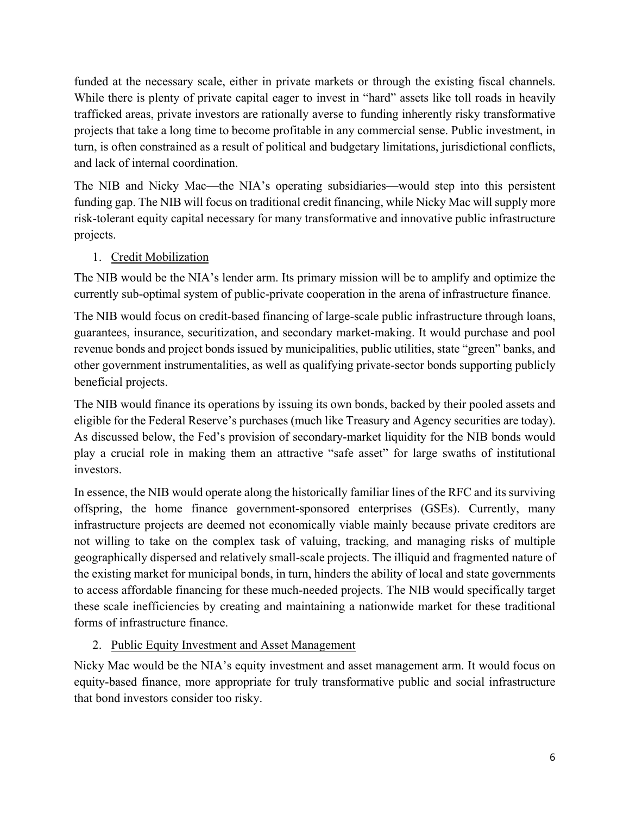funded at the necessary scale, either in private markets or through the existing fiscal channels. While there is plenty of private capital eager to invest in "hard" assets like toll roads in heavily trafficked areas, private investors are rationally averse to funding inherently risky transformative projects that take a long time to become profitable in any commercial sense. Public investment, in turn, is often constrained as a result of political and budgetary limitations, jurisdictional conflicts, and lack of internal coordination.

The NIB and Nicky Mac—the NIA's operating subsidiaries—would step into this persistent funding gap. The NIB will focus on traditional credit financing, while Nicky Mac will supply more risk-tolerant equity capital necessary for many transformative and innovative public infrastructure projects.

## 1. Credit Mobilization

The NIB would be the NIA's lender arm. Its primary mission will be to amplify and optimize the currently sub-optimal system of public-private cooperation in the arena of infrastructure finance.

The NIB would focus on credit-based financing of large-scale public infrastructure through loans, guarantees, insurance, securitization, and secondary market-making. It would purchase and pool revenue bonds and project bonds issued by municipalities, public utilities, state "green" banks, and other government instrumentalities, as well as qualifying private-sector bonds supporting publicly beneficial projects.

The NIB would finance its operations by issuing its own bonds, backed by their pooled assets and eligible for the Federal Reserve's purchases (much like Treasury and Agency securities are today). As discussed below, the Fed's provision of secondary-market liquidity for the NIB bonds would play a crucial role in making them an attractive "safe asset" for large swaths of institutional investors.

In essence, the NIB would operate along the historically familiar lines of the RFC and its surviving offspring, the home finance government-sponsored enterprises (GSEs). Currently, many infrastructure projects are deemed not economically viable mainly because private creditors are not willing to take on the complex task of valuing, tracking, and managing risks of multiple geographically dispersed and relatively small-scale projects. The illiquid and fragmented nature of the existing market for municipal bonds, in turn, hinders the ability of local and state governments to access affordable financing for these much-needed projects. The NIB would specifically target these scale inefficiencies by creating and maintaining a nationwide market for these traditional forms of infrastructure finance.

#### 2. Public Equity Investment and Asset Management

Nicky Mac would be the NIA's equity investment and asset management arm. It would focus on equity-based finance, more appropriate for truly transformative public and social infrastructure that bond investors consider too risky.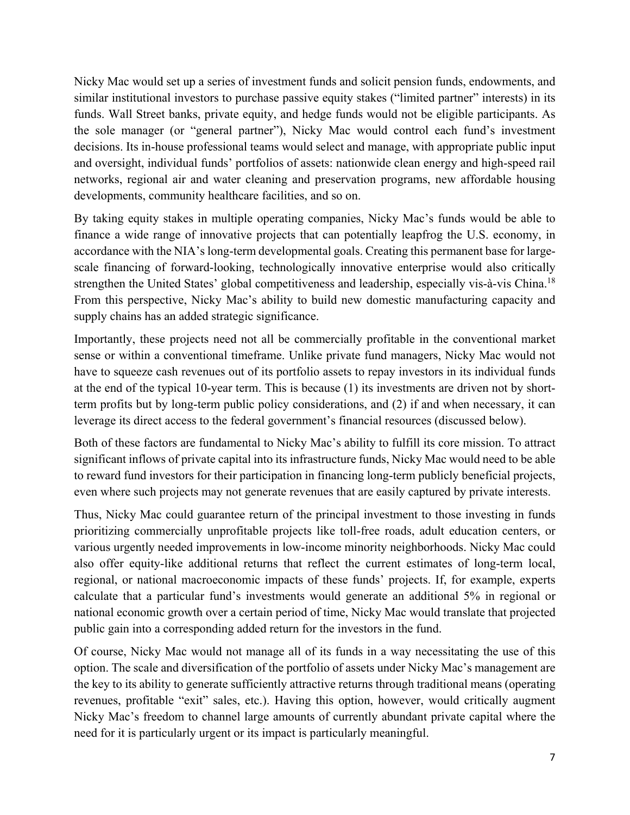Nicky Mac would set up a series of investment funds and solicit pension funds, endowments, and similar institutional investors to purchase passive equity stakes ("limited partner" interests) in its funds. Wall Street banks, private equity, and hedge funds would not be eligible participants. As the sole manager (or "general partner"), Nicky Mac would control each fund's investment decisions. Its in-house professional teams would select and manage, with appropriate public input and oversight, individual funds' portfolios of assets: nationwide clean energy and high-speed rail networks, regional air and water cleaning and preservation programs, new affordable housing developments, community healthcare facilities, and so on.

By taking equity stakes in multiple operating companies, Nicky Mac's funds would be able to finance a wide range of innovative projects that can potentially leapfrog the U.S. economy, in accordance with the NIA's long-term developmental goals. Creating this permanent base for largescale financing of forward-looking, technologically innovative enterprise would also critically strengthen the United States' global competitiveness and leadership, especially vis-à-vis China.<sup>18</sup> From this perspective, Nicky Mac's ability to build new domestic manufacturing capacity and supply chains has an added strategic significance.

Importantly, these projects need not all be commercially profitable in the conventional market sense or within a conventional timeframe. Unlike private fund managers, Nicky Mac would not have to squeeze cash revenues out of its portfolio assets to repay investors in its individual funds at the end of the typical 10-year term. This is because (1) its investments are driven not by shortterm profits but by long-term public policy considerations, and (2) if and when necessary, it can leverage its direct access to the federal government's financial resources (discussed below).

Both of these factors are fundamental to Nicky Mac's ability to fulfill its core mission. To attract significant inflows of private capital into its infrastructure funds, Nicky Mac would need to be able to reward fund investors for their participation in financing long-term publicly beneficial projects, even where such projects may not generate revenues that are easily captured by private interests.

Thus, Nicky Mac could guarantee return of the principal investment to those investing in funds prioritizing commercially unprofitable projects like toll-free roads, adult education centers, or various urgently needed improvements in low-income minority neighborhoods. Nicky Mac could also offer equity-like additional returns that reflect the current estimates of long-term local, regional, or national macroeconomic impacts of these funds' projects. If, for example, experts calculate that a particular fund's investments would generate an additional 5% in regional or national economic growth over a certain period of time, Nicky Mac would translate that projected public gain into a corresponding added return for the investors in the fund.

Of course, Nicky Mac would not manage all of its funds in a way necessitating the use of this option. The scale and diversification of the portfolio of assets under Nicky Mac's management are the key to its ability to generate sufficiently attractive returns through traditional means (operating revenues, profitable "exit" sales, etc.). Having this option, however, would critically augment Nicky Mac's freedom to channel large amounts of currently abundant private capital where the need for it is particularly urgent or its impact is particularly meaningful.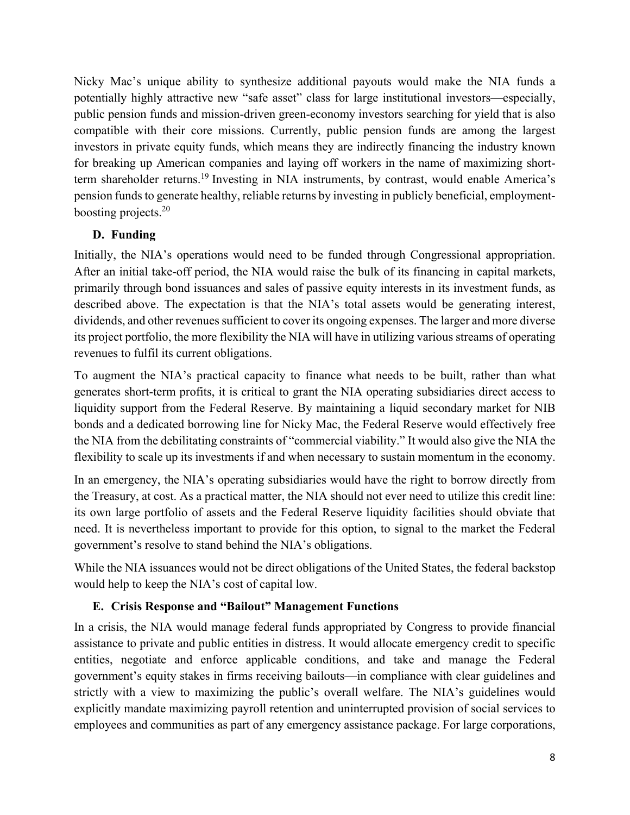Nicky Mac's unique ability to synthesize additional payouts would make the NIA funds a potentially highly attractive new "safe asset" class for large institutional investors—especially, public pension funds and mission-driven green-economy investors searching for yield that is also compatible with their core missions. Currently, public pension funds are among the largest investors in private equity funds, which means they are indirectly financing the industry known for breaking up American companies and laying off workers in the name of maximizing shortterm shareholder returns.<sup>19</sup> Investing in NIA instruments, by contrast, would enable America's pension funds to generate healthy, reliable returns by investing in publicly beneficial, employmentboosting projects.20

## **D. Funding**

Initially, the NIA's operations would need to be funded through Congressional appropriation. After an initial take-off period, the NIA would raise the bulk of its financing in capital markets, primarily through bond issuances and sales of passive equity interests in its investment funds, as described above. The expectation is that the NIA's total assets would be generating interest, dividends, and other revenues sufficient to cover its ongoing expenses. The larger and more diverse its project portfolio, the more flexibility the NIA will have in utilizing various streams of operating revenues to fulfil its current obligations.

To augment the NIA's practical capacity to finance what needs to be built, rather than what generates short-term profits, it is critical to grant the NIA operating subsidiaries direct access to liquidity support from the Federal Reserve. By maintaining a liquid secondary market for NIB bonds and a dedicated borrowing line for Nicky Mac, the Federal Reserve would effectively free the NIA from the debilitating constraints of "commercial viability." It would also give the NIA the flexibility to scale up its investments if and when necessary to sustain momentum in the economy.

In an emergency, the NIA's operating subsidiaries would have the right to borrow directly from the Treasury, at cost. As a practical matter, the NIA should not ever need to utilize this credit line: its own large portfolio of assets and the Federal Reserve liquidity facilities should obviate that need. It is nevertheless important to provide for this option, to signal to the market the Federal government's resolve to stand behind the NIA's obligations.

While the NIA issuances would not be direct obligations of the United States, the federal backstop would help to keep the NIA's cost of capital low.

#### **E. Crisis Response and "Bailout" Management Functions**

In a crisis, the NIA would manage federal funds appropriated by Congress to provide financial assistance to private and public entities in distress. It would allocate emergency credit to specific entities, negotiate and enforce applicable conditions, and take and manage the Federal government's equity stakes in firms receiving bailouts—in compliance with clear guidelines and strictly with a view to maximizing the public's overall welfare. The NIA's guidelines would explicitly mandate maximizing payroll retention and uninterrupted provision of social services to employees and communities as part of any emergency assistance package. For large corporations,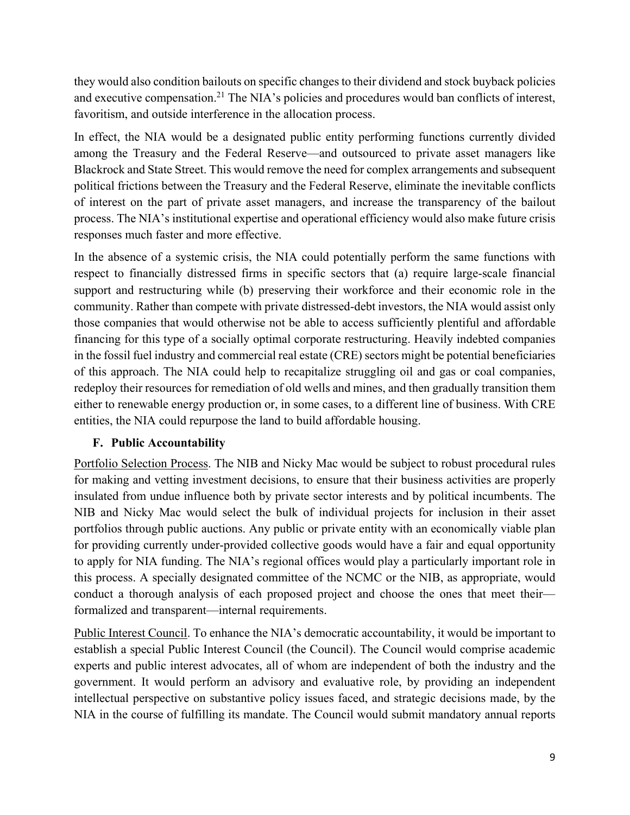they would also condition bailouts on specific changes to their dividend and stock buyback policies and executive compensation.<sup>21</sup> The NIA's policies and procedures would ban conflicts of interest, favoritism, and outside interference in the allocation process.

In effect, the NIA would be a designated public entity performing functions currently divided among the Treasury and the Federal Reserve—and outsourced to private asset managers like Blackrock and State Street. This would remove the need for complex arrangements and subsequent political frictions between the Treasury and the Federal Reserve, eliminate the inevitable conflicts of interest on the part of private asset managers, and increase the transparency of the bailout process. The NIA's institutional expertise and operational efficiency would also make future crisis responses much faster and more effective.

In the absence of a systemic crisis, the NIA could potentially perform the same functions with respect to financially distressed firms in specific sectors that (a) require large-scale financial support and restructuring while (b) preserving their workforce and their economic role in the community. Rather than compete with private distressed-debt investors, the NIA would assist only those companies that would otherwise not be able to access sufficiently plentiful and affordable financing for this type of a socially optimal corporate restructuring. Heavily indebted companies in the fossil fuel industry and commercial real estate (CRE) sectors might be potential beneficiaries of this approach. The NIA could help to recapitalize struggling oil and gas or coal companies, redeploy their resources for remediation of old wells and mines, and then gradually transition them either to renewable energy production or, in some cases, to a different line of business. With CRE entities, the NIA could repurpose the land to build affordable housing.

#### **F. Public Accountability**

Portfolio Selection Process. The NIB and Nicky Mac would be subject to robust procedural rules for making and vetting investment decisions, to ensure that their business activities are properly insulated from undue influence both by private sector interests and by political incumbents. The NIB and Nicky Mac would select the bulk of individual projects for inclusion in their asset portfolios through public auctions. Any public or private entity with an economically viable plan for providing currently under-provided collective goods would have a fair and equal opportunity to apply for NIA funding. The NIA's regional offices would play a particularly important role in this process. A specially designated committee of the NCMC or the NIB, as appropriate, would conduct a thorough analysis of each proposed project and choose the ones that meet their formalized and transparent—internal requirements.

Public Interest Council. To enhance the NIA's democratic accountability, it would be important to establish a special Public Interest Council (the Council). The Council would comprise academic experts and public interest advocates, all of whom are independent of both the industry and the government. It would perform an advisory and evaluative role, by providing an independent intellectual perspective on substantive policy issues faced, and strategic decisions made, by the NIA in the course of fulfilling its mandate. The Council would submit mandatory annual reports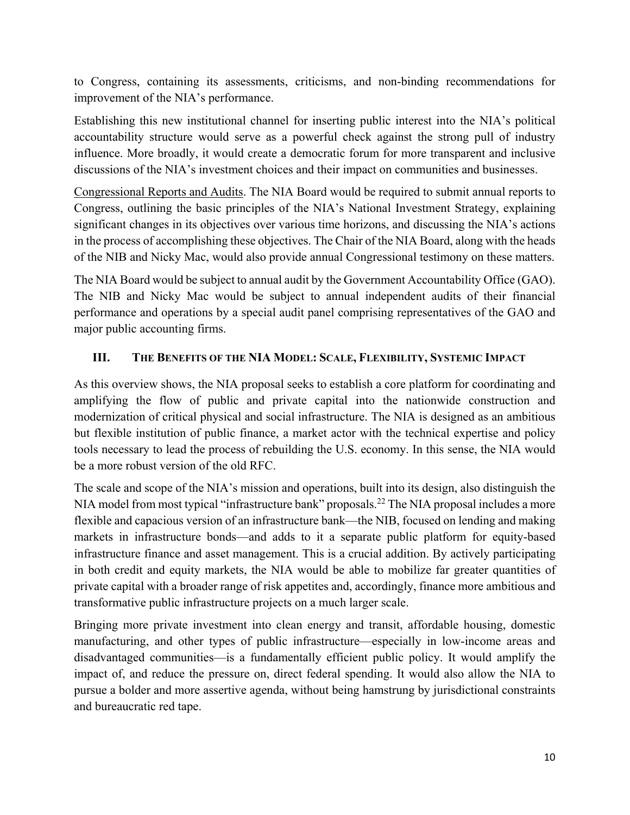to Congress, containing its assessments, criticisms, and non-binding recommendations for improvement of the NIA's performance.

Establishing this new institutional channel for inserting public interest into the NIA's political accountability structure would serve as a powerful check against the strong pull of industry influence. More broadly, it would create a democratic forum for more transparent and inclusive discussions of the NIA's investment choices and their impact on communities and businesses.

Congressional Reports and Audits. The NIA Board would be required to submit annual reports to Congress, outlining the basic principles of the NIA's National Investment Strategy, explaining significant changes in its objectives over various time horizons, and discussing the NIA's actions in the process of accomplishing these objectives. The Chair of the NIA Board, along with the heads of the NIB and Nicky Mac, would also provide annual Congressional testimony on these matters.

The NIA Board would be subject to annual audit by the Government Accountability Office (GAO). The NIB and Nicky Mac would be subject to annual independent audits of their financial performance and operations by a special audit panel comprising representatives of the GAO and major public accounting firms.

## **III. THE BENEFITS OF THE NIA MODEL: SCALE, FLEXIBILITY, SYSTEMIC IMPACT**

As this overview shows, the NIA proposal seeks to establish a core platform for coordinating and amplifying the flow of public and private capital into the nationwide construction and modernization of critical physical and social infrastructure. The NIA is designed as an ambitious but flexible institution of public finance, a market actor with the technical expertise and policy tools necessary to lead the process of rebuilding the U.S. economy. In this sense, the NIA would be a more robust version of the old RFC.

The scale and scope of the NIA's mission and operations, built into its design, also distinguish the NIA model from most typical "infrastructure bank" proposals.<sup>22</sup> The NIA proposal includes a more flexible and capacious version of an infrastructure bank—the NIB, focused on lending and making markets in infrastructure bonds—and adds to it a separate public platform for equity-based infrastructure finance and asset management. This is a crucial addition. By actively participating in both credit and equity markets, the NIA would be able to mobilize far greater quantities of private capital with a broader range of risk appetites and, accordingly, finance more ambitious and transformative public infrastructure projects on a much larger scale.

Bringing more private investment into clean energy and transit, affordable housing, domestic manufacturing, and other types of public infrastructure—especially in low-income areas and disadvantaged communities—is a fundamentally efficient public policy. It would amplify the impact of, and reduce the pressure on, direct federal spending. It would also allow the NIA to pursue a bolder and more assertive agenda, without being hamstrung by jurisdictional constraints and bureaucratic red tape.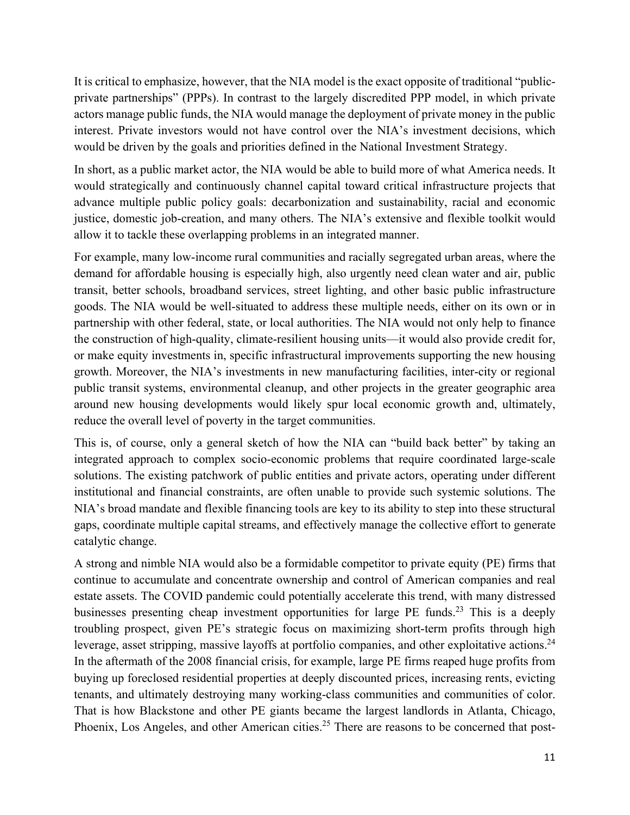It is critical to emphasize, however, that the NIA model is the exact opposite of traditional "publicprivate partnerships" (PPPs). In contrast to the largely discredited PPP model, in which private actors manage public funds, the NIA would manage the deployment of private money in the public interest. Private investors would not have control over the NIA's investment decisions, which would be driven by the goals and priorities defined in the National Investment Strategy.

In short, as a public market actor, the NIA would be able to build more of what America needs. It would strategically and continuously channel capital toward critical infrastructure projects that advance multiple public policy goals: decarbonization and sustainability, racial and economic justice, domestic job-creation, and many others. The NIA's extensive and flexible toolkit would allow it to tackle these overlapping problems in an integrated manner.

For example, many low-income rural communities and racially segregated urban areas, where the demand for affordable housing is especially high, also urgently need clean water and air, public transit, better schools, broadband services, street lighting, and other basic public infrastructure goods. The NIA would be well-situated to address these multiple needs, either on its own or in partnership with other federal, state, or local authorities. The NIA would not only help to finance the construction of high-quality, climate-resilient housing units—it would also provide credit for, or make equity investments in, specific infrastructural improvements supporting the new housing growth. Moreover, the NIA's investments in new manufacturing facilities, inter-city or regional public transit systems, environmental cleanup, and other projects in the greater geographic area around new housing developments would likely spur local economic growth and, ultimately, reduce the overall level of poverty in the target communities.

This is, of course, only a general sketch of how the NIA can "build back better" by taking an integrated approach to complex socio-economic problems that require coordinated large-scale solutions. The existing patchwork of public entities and private actors, operating under different institutional and financial constraints, are often unable to provide such systemic solutions. The NIA's broad mandate and flexible financing tools are key to its ability to step into these structural gaps, coordinate multiple capital streams, and effectively manage the collective effort to generate catalytic change.

A strong and nimble NIA would also be a formidable competitor to private equity (PE) firms that continue to accumulate and concentrate ownership and control of American companies and real estate assets. The COVID pandemic could potentially accelerate this trend, with many distressed businesses presenting cheap investment opportunities for large PE funds.<sup>23</sup> This is a deeply troubling prospect, given PE's strategic focus on maximizing short-term profits through high leverage, asset stripping, massive layoffs at portfolio companies, and other exploitative actions.<sup>24</sup> In the aftermath of the 2008 financial crisis, for example, large PE firms reaped huge profits from buying up foreclosed residential properties at deeply discounted prices, increasing rents, evicting tenants, and ultimately destroying many working-class communities and communities of color. That is how Blackstone and other PE giants became the largest landlords in Atlanta, Chicago, Phoenix, Los Angeles, and other American cities.<sup>25</sup> There are reasons to be concerned that post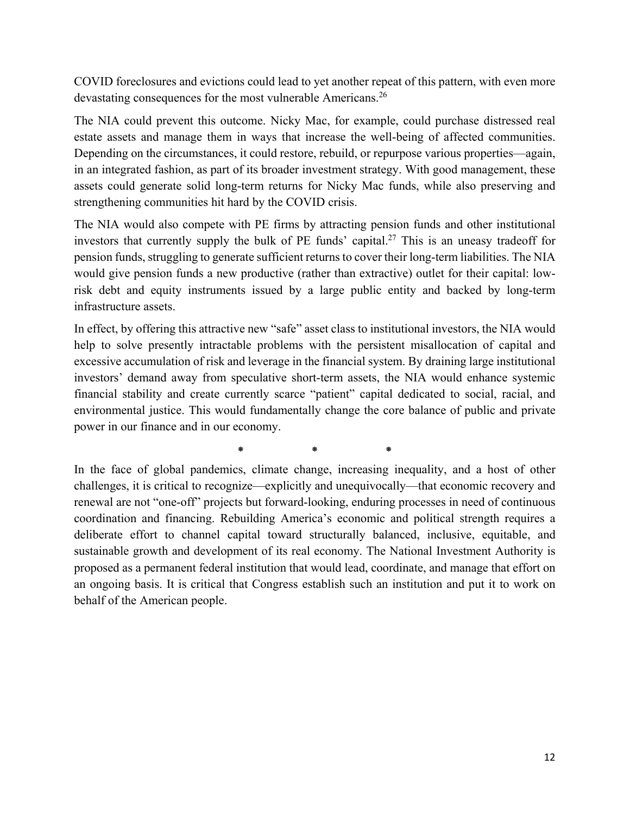COVID foreclosures and evictions could lead to yet another repeat of this pattern, with even more devastating consequences for the most vulnerable Americans.<sup>26</sup>

The NIA could prevent this outcome. Nicky Mac, for example, could purchase distressed real estate assets and manage them in ways that increase the well-being of affected communities. Depending on the circumstances, it could restore, rebuild, or repurpose various properties—again, in an integrated fashion, as part of its broader investment strategy. With good management, these assets could generate solid long-term returns for Nicky Mac funds, while also preserving and strengthening communities hit hard by the COVID crisis.

The NIA would also compete with PE firms by attracting pension funds and other institutional investors that currently supply the bulk of PE funds' capital.<sup>27</sup> This is an uneasy tradeoff for pension funds, struggling to generate sufficient returns to cover their long-term liabilities. The NIA would give pension funds a new productive (rather than extractive) outlet for their capital: lowrisk debt and equity instruments issued by a large public entity and backed by long-term infrastructure assets.

In effect, by offering this attractive new "safe" asset class to institutional investors, the NIA would help to solve presently intractable problems with the persistent misallocation of capital and excessive accumulation of risk and leverage in the financial system. By draining large institutional investors' demand away from speculative short-term assets, the NIA would enhance systemic financial stability and create currently scarce "patient" capital dedicated to social, racial, and environmental justice. This would fundamentally change the core balance of public and private power in our finance and in our economy.

 $*$   $*$ 

In the face of global pandemics, climate change, increasing inequality, and a host of other challenges, it is critical to recognize—explicitly and unequivocally—that economic recovery and renewal are not "one-off" projects but forward-looking, enduring processes in need of continuous coordination and financing. Rebuilding America's economic and political strength requires a deliberate effort to channel capital toward structurally balanced, inclusive, equitable, and sustainable growth and development of its real economy. The National Investment Authority is proposed as a permanent federal institution that would lead, coordinate, and manage that effort on an ongoing basis. It is critical that Congress establish such an institution and put it to work on behalf of the American people.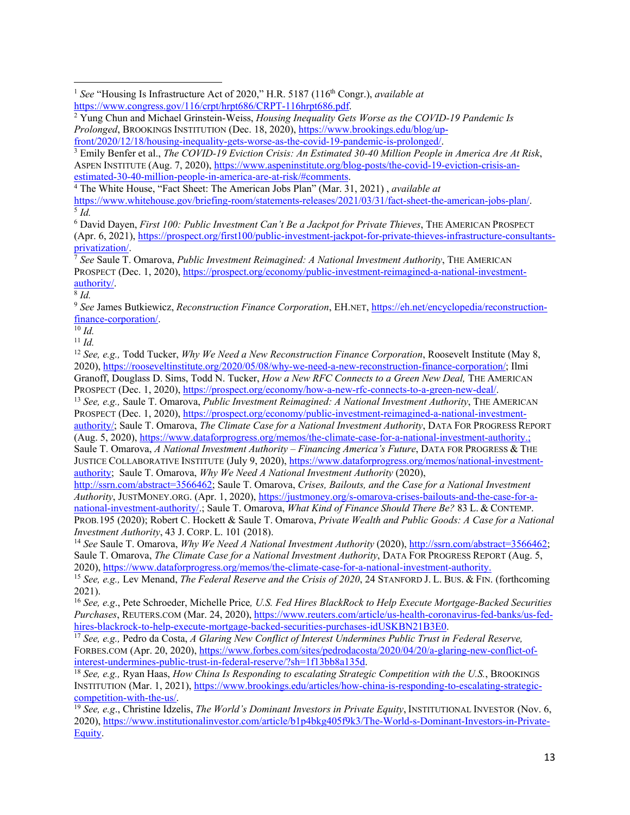Emily Benfer et al., *The COVID-19 Eviction Crisis: An Estimated 30-40 Million People in America Are At Risk*, ASPEN INSTITUTE (Aug. 7, 2020), https://www.aspeninstitute.org/blog-posts/the-covid-19-eviction-crisis-anestimated-30-40-million-people-in-america-are-at-risk/#comments. 4 The White House, "Fact Sheet: The American Jobs Plan" (Mar. 31, 2021) , *available at*

https://www.whitehouse.gov/briefing-room/statements-releases/2021/03/31/fact-sheet-the-american-jobs-plan/. 5 *Id.*

6 David Dayen, *First 100: Public Investment Can't Be a Jackpot for Private Thieves*, THE AMERICAN PROSPECT (Apr. 6, 2021), https://prospect.org/first100/public-investment-jackpot-for-private-thieves-infrastructure-consultants-<br>privatization/.

privatization/. 7 *See* Saule T. Omarova, *Public Investment Reimagined: A National Investment Authority*, THE AMERICAN PROSPECT (Dec. 1, 2020), https://prospect.org/economy/public-investment-reimagined-a-national-investmentauthority/. 8 *Id.*

<sup>9</sup> *See* James Butkiewicz, *Reconstruction Finance Corporation*, EH.NET, https://eh.net/encyclopedia/reconstructionfinance-corporation/. 10 *Id.*

<sup>11</sup> *Id.*

<sup>12</sup> *See, e.g.,* Todd Tucker, *Why We Need a New Reconstruction Finance Corporation*, Roosevelt Institute (May 8, 2020), https://rooseveltinstitute.org/2020/05/08/why-we-need-a-new-reconstruction-finance-corporation/; Ilmi Granoff, Douglass D. Sims, Todd N. Tucker, *How a New RFC Connects to a Green New Deal,* THE AMERICAN PROSPECT (Dec. 1, 2020), https://prospect.org/economy/how-a-new-rfc-connects-to-a-green-new-deal/. 13 *See, e.g.,* Saule T. Omarova, *Public Investment Reimagined: A National Investment Authority*, THE AMERICAN

PROSPECT (Dec. 1, 2020), https://prospect.org/economy/public-investment-reimagined-a-national-investment-

authority/; Saule T. Omarova, *The Climate Case for a National Investment Authority*, DATA FOR PROGRESS REPORT (Aug. 5, 2020), https://www.dataforprogress.org/memos/the-climate-case-for-a-national-investment-authority.;

Saule T. Omarova, *A National Investment Authority – Financing America's Future*, DATA FOR PROGRESS & THE JUSTICE COLLABORATIVE INSTITUTE (July 9, 2020), https://www.dataforprogress.org/memos/national-investmentauthority; Saule T. Omarova, *Why We Need A National Investment Authority* (2020),

http://ssrn.com/abstract=3566462; Saule T. Omarova, *Crises, Bailouts, and the Case for a National Investment Authority*, JUSTMONEY.ORG. (Apr. 1, 2020), https://justmoney.org/s-omarova-crises-bailouts-and-the-case-for-anational-investment-authority/.; Saule T. Omarova, *What Kind of Finance Should There Be?* 83 L. & CONTEMP. PROB*.*195 (2020); Robert C. Hockett & Saule T. Omarova, *Private Wealth and Public Goods: A Case for a National* 

*Investment Authority*, 43 J. CORP. L. 101 (2018). 14 *See* Saule T. Omarova, *Why We Need A National Investment Authority* (2020), http://ssrn.com/abstract=3566462; Saule T. Omarova, *The Climate Case for a National Investment Authority*, DATA FOR PROGRESS REPORT (Aug. 5, 2020), https://www.dataforprogress.org/memos/the-climate-case-for-a-national-investment-authority.

<sup>15</sup> *See, e.g.,* Lev Menand, *The Federal Reserve and the Crisis of 2020*, 24 STANFORD J. L. BUS. & FIN. (forthcoming 2021).

<sup>16</sup> *See, e.g*., Pete Schroeder, Michelle Price*, U.S. Fed Hires BlackRock to Help Execute Mortgage-Backed Securities Purchases*, REUTERS.COM (Mar. 24, 2020), https://www.reuters.com/article/us-health-coronavirus-fed-banks/us-fed-<br>hires-blackrock-to-help-execute-mortgage-backed-securities-purchases-idUSKBN21B3E0.

<sup>17</sup> See, e.g., Pedro da Costa, *A Glaring New Conflict of Interest Undermines Public Trust in Federal Reserve,* FORBES.COM (Apr. 20, 2020), https://www.forbes.com/sites/pedrodacosta/2020/04/20/a-glaring-new-conflict-of-<br>interest-undermines-public-trust-in-federal-reserve/?sh=1f13bb8a135d.

<sup>18</sup> See, e.g., Ryan Haas, *How China Is Responding to escalating Strategic Competition with the U.S.*, BROOKINGS INSTITUTION (Mar. 1, 2021), https://www.brookings.edu/articles/how-china-is-responding-to-escalating-strategic-

competition-with-the-us/. 19 *See, e.g*., Christine Idzelis, *The World's Dominant Investors in Private Equity*, INSTITUTIONAL INVESTOR (Nov. 6, 2020), https://www.institutionalinvestor.com/article/b1p4bkg405f9k3/The-World-s-Dominant-Investors-in-Private-Equity.

<sup>&</sup>lt;sup>1</sup> See "Housing Is Infrastructure Act of 2020," H.R. 5187 (116<sup>th</sup> Congr.), *available at* https://www.congress.gov/116/crpt/hrpt686/CRPT-116hrpt686.pdf. 2

Yung Chun and Michael Grinstein-Weiss, *Housing Inequality Gets Worse as the COVID-19 Pandemic Is Prolonged*, BROOKINGS INSTITUTION (Dec. 18, 2020), https://www.brookings.edu/blog/upfront/2020/12/18/housing-inequality-gets-worse-as-the-covid-19-pandemic-is-prolonged/. 3